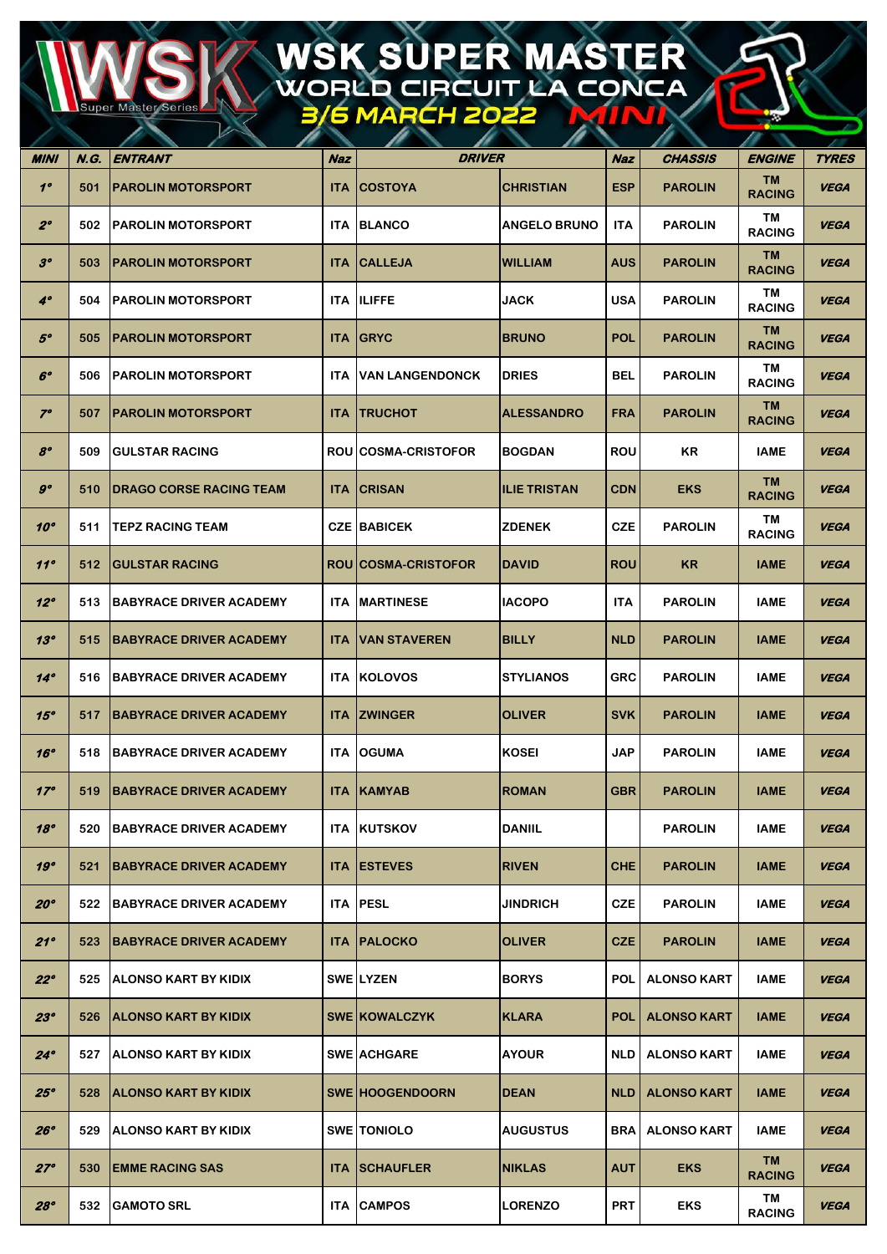## WSK SUPER MASTER<br>WORLD CIRCUIT LA CONCA

**uper Maste** 

| MINI           | N.G. | $\mathbb{Z}^n$<br>ENTRANT       | Naz        | <i><b>DRIVER</b></i>       |                     | Naz        | CHASSIS            | <b>ENGINE</b>       | <b>TYRES</b> |
|----------------|------|---------------------------------|------------|----------------------------|---------------------|------------|--------------------|---------------------|--------------|
| $1^{\circ}$    | 501  | <b> PAROLIN MOTORSPORT</b>      | <b>ITA</b> | <b>COSTOYA</b>             | <b>CHRISTIAN</b>    | <b>ESP</b> | <b>PAROLIN</b>     | TM<br><b>RACING</b> | <b>VEGA</b>  |
| $2^{\circ}$    | 502  | <b>IPAROLIN MOTORSPORT</b>      | <b>ITA</b> | <b>BLANCO</b>              | <b>ANGELO BRUNO</b> | <b>ITA</b> | <b>PAROLIN</b>     | TM<br><b>RACING</b> | <b>VEGA</b>  |
| 3 <sup>o</sup> | 503  | <b>IPAROLIN MOTORSPORT</b>      | <b>ITA</b> | <b>CALLEJA</b>             | <b>WILLIAM</b>      | <b>AUS</b> | <b>PAROLIN</b>     | TM<br><b>RACING</b> | <b>VEGA</b>  |
| $4^\circ$      | 504  | <b>IPAROLIN MOTORSPORT</b>      | ITA        | <b>ILIFFE</b>              | <b>JACK</b>         | <b>USA</b> | <b>PAROLIN</b>     | TM<br><b>RACING</b> | <b>VEGA</b>  |
| $5^\circ$      | 505  | <b>PAROLIN MOTORSPORT</b>       | <b>ITA</b> | <b>GRYC</b>                | <b>BRUNO</b>        | <b>POL</b> | <b>PAROLIN</b>     | TM<br><b>RACING</b> | <b>VEGA</b>  |
| $6^{\circ}$    | 506  | PAROLIN MOTORSPORT              | <b>ITA</b> | <b>VAN LANGENDONCK</b>     | <b>DRIES</b>        | BEL        | <b>PAROLIN</b>     | TM<br><b>RACING</b> | <b>VEGA</b>  |
| $7^{\circ}$    | 507  | <b>PAROLIN MOTORSPORT</b>       | <b>ITA</b> | <b>TRUCHOT</b>             | <b>ALESSANDRO</b>   | <b>FRA</b> | <b>PAROLIN</b>     | TM<br><b>RACING</b> | <b>VEGA</b>  |
| $8^{\circ}$    | 509  | <b>IGULSTAR RACING</b>          |            | <b>ROU COSMA-CRISTOFOR</b> | <b>BOGDAN</b>       | <b>ROU</b> | KR                 | <b>IAME</b>         | <b>VEGA</b>  |
| $g^o$          | 510  | <b>IDRAGO CORSE RACING TEAM</b> | <b>ITA</b> | <b>CRISAN</b>              | <b>ILIE TRISTAN</b> | <b>CDN</b> | <b>EKS</b>         | TM<br><b>RACING</b> | <b>VEGA</b>  |
| 10°            | 511  | <b>TEPZ RACING TEAM</b>         |            | <b>CZE BABICEK</b>         | <b>ZDENEK</b>       | <b>CZE</b> | <b>PAROLIN</b>     | TM<br><b>RACING</b> | <b>VEGA</b>  |
| 11°            | 512  | <b>IGULSTAR RACING</b>          |            | ROU COSMA-CRISTOFOR        | <b>DAVID</b>        | <b>ROU</b> | <b>KR</b>          | <b>IAME</b>         | <b>VEGA</b>  |
| 12°            | 513  | <b>BABYRACE DRIVER ACADEMY</b>  | <b>ITA</b> | <b>MARTINESE</b>           | <b>IACOPO</b>       | <b>ITA</b> | <b>PAROLIN</b>     | IAME                | <b>VEGA</b>  |
| 13°            | 515  | <b>BABYRACE DRIVER ACADEMY</b>  | <b>ITA</b> | <b>VAN STAVEREN</b>        | <b>BILLY</b>        | <b>NLD</b> | <b>PAROLIN</b>     | <b>IAME</b>         | <b>VEGA</b>  |
| $14^\circ$     | 516  | <b> BABYRACE DRIVER ACADEMY</b> | <b>ITA</b> | <b>IKOLOVOS</b>            | <b>STYLIANOS</b>    | <b>GRC</b> | <b>PAROLIN</b>     | <b>IAME</b>         | <b>VEGA</b>  |
| 15°            | 517  | <b>BABYRACE DRIVER ACADEMY</b>  | <b>ITA</b> | <b>ZWINGER</b>             | <b>OLIVER</b>       | <b>SVK</b> | <b>PAROLIN</b>     | <b>IAME</b>         | <b>VEGA</b>  |
| 16°            | 518  | <b>BABYRACE DRIVER ACADEMY</b>  | <b>ITA</b> | <b>OGUMA</b>               | <b>KOSEI</b>        | <b>JAP</b> | <b>PAROLIN</b>     | IAME                | <b>VEGA</b>  |
| $17^\circ$     | 519  | <b>BABYRACE DRIVER ACADEMY</b>  | <b>ITA</b> | <b>KAMYAB</b>              | <b>ROMAN</b>        | <b>GBR</b> | <b>PAROLIN</b>     | <b>IAME</b>         | <b>VEGA</b>  |
| 18°            | 520  | <b>IBABYRACE DRIVER ACADEMY</b> | <b>ITA</b> | <b>KUTSKOV</b>             | <b>DANIIL</b>       |            | <b>PAROLIN</b>     | <b>IAME</b>         | <b>VEGA</b>  |
| 19°            | 521  | <b>IBABYRACE DRIVER ACADEMY</b> | <b>ITA</b> | <b>ESTEVES</b>             | <b>RIVEN</b>        | CHE.       | <b>PAROLIN</b>     | <b>IAME</b>         | <b>VEGA</b>  |
| 20°            | 522  | <b>BABYRACE DRIVER ACADEMY</b>  | <b>ITA</b> | <b>PESL</b>                | <b>JINDRICH</b>     | <b>CZE</b> | <b>PAROLIN</b>     | <b>IAME</b>         | <b>VEGA</b>  |
| 21°            | 523  | <b>BABYRACE DRIVER ACADEMY</b>  | <b>ITA</b> | <b>PALOCKO</b>             | <b>OLIVER</b>       | <b>CZE</b> | <b>PAROLIN</b>     | <b>IAME</b>         | <b>VEGA</b>  |
| $22^{\circ}$   | 525  | <b>ALONSO KART BY KIDIX</b>     |            | SWE LYZEN                  | <b>BORYS</b>        | POL        | <b>ALONSO KART</b> | <b>IAME</b>         | <b>VEGA</b>  |
| 23°            | 526  | <b>ALONSO KART BY KIDIX</b>     |            | <b>SWE KOWALCZYK</b>       | KLARA               | <b>POL</b> | <b>ALONSO KART</b> | <b>IAME</b>         | <b>VEGA</b>  |
| $24^\circ$     | 527  | IALONSO KART BY KIDIX           |            | <b>SWE ACHGARE</b>         | <b>AYOUR</b>        | <b>NLD</b> | <b>ALONSO KART</b> | <b>IAME</b>         | <b>VEGA</b>  |
| 25°            | 528  | <b>IALONSO KART BY KIDIX</b>    |            | <b>SWE HOOGENDOORN</b>     | <b>DEAN</b>         | <b>NLD</b> | <b>ALONSO KART</b> | <b>IAME</b>         | <b>VEGA</b>  |
| 26°            | 529  | IALONSO KART BY KIDIX           |            | <b>SWE TONIOLO</b>         | <b>AUGUSTUS</b>     | <b>BRA</b> | <b>ALONSO KART</b> | <b>IAME</b>         | <b>VEGA</b>  |
| $27^\circ$     | 530  | <b>EMME RACING SAS</b>          | <b>ITA</b> | <b>SCHAUFLER</b>           | <b>NIKLAS</b>       | <b>AUT</b> | <b>EKS</b>         | TM<br><b>RACING</b> | <b>VEGA</b>  |
| 28°            | 532  | <b>GAMOTO SRL</b>               | <b>ITA</b> | <b>CAMPOS</b>              | <b>LORENZO</b>      | PRT        | <b>EKS</b>         | TM<br><b>RACING</b> | <b>VEGA</b>  |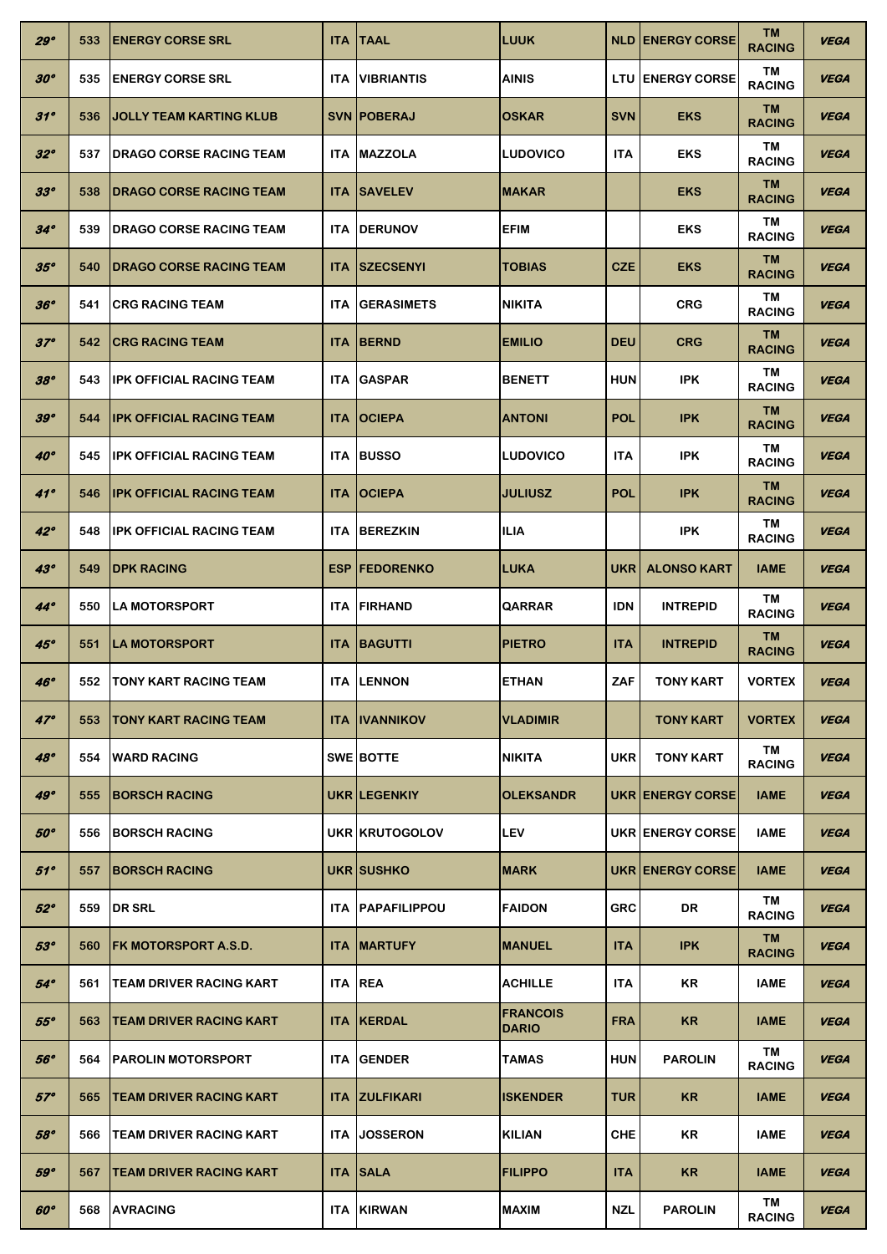| 29°          | 533 | <b>IENERGY CORSE SRL</b>        | <b>ITA</b> | <b>ITAAL</b>             | <b>LUUK</b>                     |            | <b>NLD ENERGY CORSE</b>  | <b>TM</b><br><b>RACING</b> | <b>VEGA</b> |
|--------------|-----|---------------------------------|------------|--------------------------|---------------------------------|------------|--------------------------|----------------------------|-------------|
| 30°          | 535 | <b>ENERGY CORSE SRL</b>         | <b>ITA</b> | <b>VIBRIANTIS</b>        | <b>AINIS</b>                    |            | <b>LTU ENERGY CORSE</b>  | ΤM<br><b>RACING</b>        | <b>VEGA</b> |
| 31°          | 536 | IJOLLY TEAM KARTING KLUB        |            | <b>SVN   POBERAJ</b>     | <b>OSKAR</b>                    | <b>SVN</b> | <b>EKS</b>               | TM<br><b>RACING</b>        | <b>VEGA</b> |
| $32^{\circ}$ | 537 | <b>IDRAGO CORSE RACING TEAM</b> |            | <b>ITA IMAZZOLA</b>      | <b>LUDOVICO</b>                 | <b>ITA</b> | <b>EKS</b>               | TM<br><b>RACING</b>        | <b>VEGA</b> |
| 33°          | 538 | <b>IDRAGO CORSE RACING TEAM</b> |            | <b>ITA SAVELEV</b>       | <b>MAKAR</b>                    |            | <b>EKS</b>               | <b>TM</b><br><b>RACING</b> | <b>VEGA</b> |
| $34^\circ$   | 539 | <b>IDRAGO CORSE RACING TEAM</b> | ITA.       | <b>IDERUNOV</b>          | EFIM                            |            | <b>EKS</b>               | ΤM<br><b>RACING</b>        | <b>VEGA</b> |
| 35°          | 540 | <b>IDRAGO CORSE RACING TEAM</b> | <b>ITA</b> | <b>SZECSENYI</b>         | <b>TOBIAS</b>                   | <b>CZE</b> | <b>EKS</b>               | <b>TM</b><br><b>RACING</b> | <b>VEGA</b> |
| 36°          | 541 | <b>ICRG RACING TEAM</b>         | <b>ITA</b> | <b>GERASIMETS</b>        | <b>NIKITA</b>                   |            | <b>CRG</b>               | TM<br><b>RACING</b>        | <b>VEGA</b> |
| $37^\circ$   | 542 | <b>CRG RACING TEAM</b>          | <b>ITA</b> | <b>BERND</b>             | <b>EMILIO</b>                   | <b>DEU</b> | <b>CRG</b>               | <b>TM</b><br><b>RACING</b> | <b>VEGA</b> |
| 38°          | 543 | <b>IPK OFFICIAL RACING TEAM</b> | <b>ITA</b> | <b>GASPAR</b>            | <b>BENETT</b>                   | <b>HUN</b> | <b>IPK</b>               | ΤM<br><b>RACING</b>        | <b>VEGA</b> |
| 39°          | 544 | <b>IPK OFFICIAL RACING TEAM</b> | <b>ITA</b> | <b>OCIEPA</b>            | <b>ANTONI</b>                   | <b>POL</b> | <b>IPK</b>               | <b>TM</b><br><b>RACING</b> | <b>VEGA</b> |
| $40^\circ$   | 545 | <b>IPK OFFICIAL RACING TEAM</b> | <b>ITA</b> | <b>BUSSO</b>             | <b>LUDOVICO</b>                 | <b>ITA</b> | IPK.                     | TM<br><b>RACING</b>        | <b>VEGA</b> |
| 41°          | 546 | <b>IPK OFFICIAL RACING TEAM</b> | <b>ITA</b> | <b>OCIEPA</b>            | <b>JULIUSZ</b>                  | <b>POL</b> | <b>IPK</b>               | <b>TM</b><br><b>RACING</b> | <b>VEGA</b> |
| $42^\circ$   | 548 | <b>IPK OFFICIAL RACING TEAM</b> |            | <b>ITA BEREZKIN</b>      | <b>ILIA</b>                     |            | <b>IPK</b>               | TM<br><b>RACING</b>        | <b>VEGA</b> |
| $43^\circ$   | 549 | <b>IDPK RACING</b>              | <b>ESP</b> | <b>FEDORENKO</b>         | LUKA                            | UKR I      | <b>ALONSO KART</b>       | <b>IAME</b>                | <b>VEGA</b> |
| $44^\circ$   | 550 | <b>ILA MOTORSPORT</b>           | ITA.       | <b>FIRHAND</b>           | QARRAR                          | <b>IDN</b> | <b>INTREPID</b>          | TM<br><b>RACING</b>        | <b>VEGA</b> |
| 45°          | 551 | <b>LA MOTORSPORT</b>            | <b>ITA</b> | <b>BAGUTTI</b>           | <b>PIETRO</b>                   | <b>ITA</b> | <b>INTREPID</b>          | <b>TM</b><br><b>RACING</b> | <b>VEGA</b> |
| 46°          |     | 552 TONY KART RACING TEAM       |            | <b>ITA ILENNON</b>       | <b>ETHAN</b>                    | ZAF        | <b>TONY KART</b>         | <b>VORTEX</b>              | <b>VEGA</b> |
| $47^\circ$   | 553 | TONY KART RACING TEAM           | <b>ITA</b> | <b>IIVANNIKOV</b>        | <b>VLADIMIR</b>                 |            | <b>TONY KART</b>         | <b>VORTEX</b>              | <b>VEGA</b> |
| 48°          | 554 | <b>IWARD RACING</b>             |            | <b>SWE BOTTE</b>         | <b>NIKITA</b>                   | <b>UKR</b> | <b>TONY KART</b>         | ΤM<br><b>RACING</b>        | <b>VEGA</b> |
| 49°          | 555 | <b>BORSCH RACING</b>            |            | <b>UKR ILEGENKIY</b>     | <b>OLEKSANDR</b>                |            | <b>UKR LENERGY CORSE</b> | <b>IAME</b>                | <b>VEGA</b> |
| $50^\circ$   | 556 | <b>BORSCH RACING</b>            |            | UKR KRUTOGOLOV           | <b>LEV</b>                      |            | <b>UKR ENERGY CORSE</b>  | <b>IAME</b>                | <b>VEGA</b> |
| 51°          | 557 | <b>IBORSCH RACING</b>           |            | UKR SUSHKO               | <b>MARK</b>                     |            | <b>UKR ENERGY CORSE</b>  | <b>IAME</b>                | <b>VEGA</b> |
| $52^{\circ}$ | 559 | <b>DR SRL</b>                   |            | <b>ITA IPAPAFILIPPOU</b> | <b>FAIDON</b>                   | <b>GRC</b> | DR                       | TM<br><b>RACING</b>        | <b>VEGA</b> |
| 53°          | 560 | <b>IFK MOTORSPORT A.S.D.</b>    | <b>ITA</b> | <b>IMARTUFY</b>          | <b>MANUEL</b>                   | <b>ITA</b> | <b>IPK</b>               | <b>TM</b><br><b>RACING</b> | <b>VEGA</b> |
| $54^\circ$   | 561 | TEAM DRIVER RACING KART         | <b>ITA</b> | <b>REA</b>               | <b>ACHILLE</b>                  | <b>ITA</b> | KR                       | <b>IAME</b>                | <b>VEGA</b> |
| $55^\circ$   | 563 | <b>TEAM DRIVER RACING KART</b>  | <b>ITA</b> | <b>KERDAL</b>            | <b>FRANCOIS</b><br><b>DARIO</b> | <b>FRA</b> | <b>KR</b>                | <b>IAME</b>                | <b>VEGA</b> |
| $56^\circ$   | 564 | <b>PAROLIN MOTORSPORT</b>       | ITA.       | <b>IGENDER</b>           | <b>TAMAS</b>                    | <b>HUN</b> | <b>PAROLIN</b>           | TM<br><b>RACING</b>        | <b>VEGA</b> |
| $57^\circ$   | 565 | <b> TEAM DRIVER RACING KART</b> | <b>ITA</b> | <b>IZULFIKARI</b>        | <b>ISKENDER</b>                 | TUR        | <b>KR</b>                | <b>IAME</b>                | <b>VEGA</b> |
| 58°          | 566 | TEAM DRIVER RACING KART         | <b>ITA</b> | <b>JOSSERON</b>          | <b>KILIAN</b>                   | CHE        | ΚR                       | <b>IAME</b>                | <b>VEGA</b> |
| 59°          | 567 | <b>ITEAM DRIVER RACING KART</b> | <b>ITA</b> | <b>SALA</b>              | <b>FILIPPO</b>                  | <b>ITA</b> | <b>KR</b>                | <b>IAME</b>                | <b>VEGA</b> |
| $60^\circ$   | 568 | <b>AVRACING</b>                 |            | <b>ITA KIRWAN</b>        | <b>MAXIM</b>                    | <b>NZL</b> | <b>PAROLIN</b>           | TM<br><b>RACING</b>        | <b>VEGA</b> |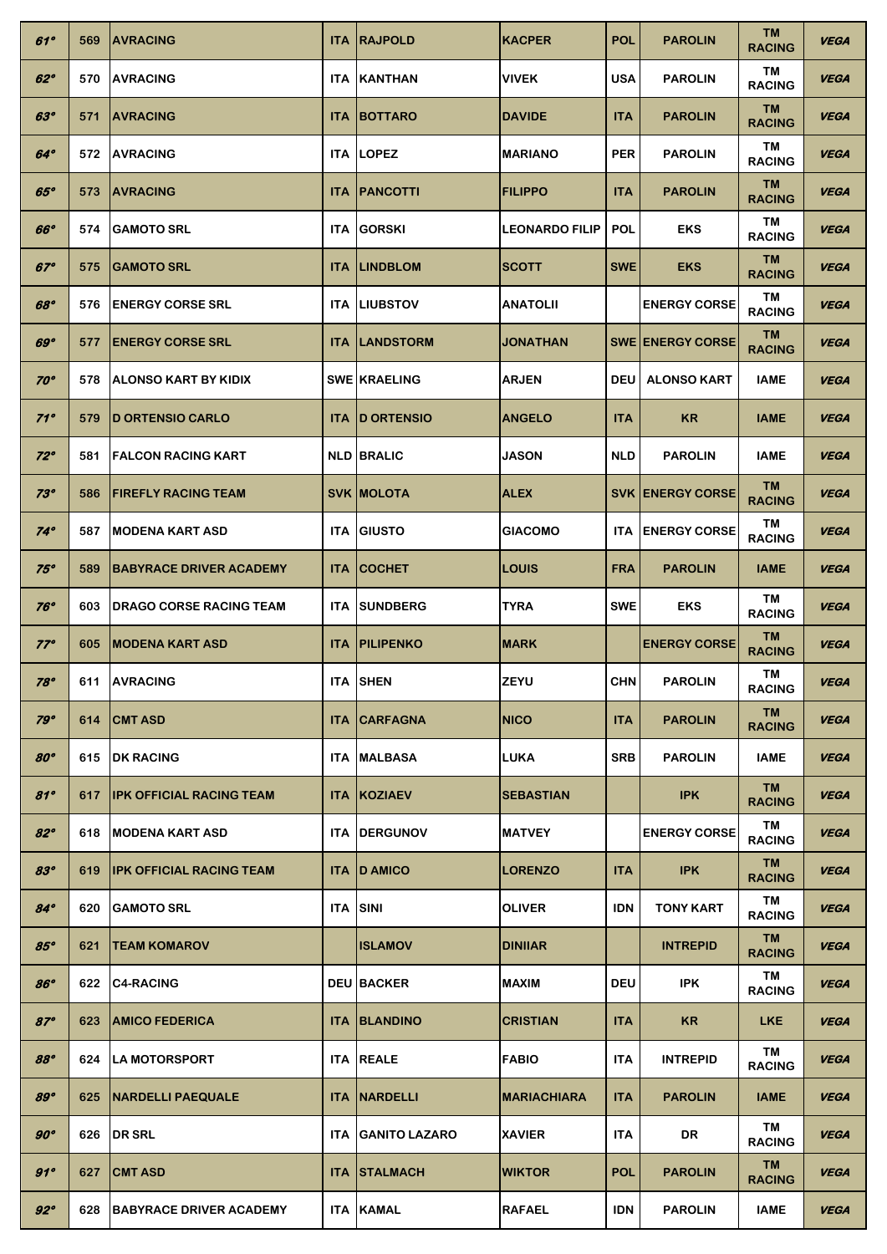| $61^\circ$   | 569 | <b>JAVRACING</b>                | <b>ITA</b> | <b>RAJPOLD</b>       | <b>KACPER</b>         | <b>POL</b> | <b>PAROLIN</b>           | TM<br><b>RACING</b>  | <b>VEGA</b> |
|--------------|-----|---------------------------------|------------|----------------------|-----------------------|------------|--------------------------|----------------------|-------------|
| $62^\circ$   | 570 | <b>IAVRACING</b>                | <b>ITA</b> | <b>KANTHAN</b>       | <b>VIVEK</b>          | <b>USA</b> | <b>PAROLIN</b>           | ΤM<br><b>RACING</b>  | <b>VEGA</b> |
| $63^\circ$   | 571 | <b>AVRACING</b>                 | <b>ITA</b> | <b>BOTTARO</b>       | <b>DAVIDE</b>         | <b>ITA</b> | <b>PAROLIN</b>           | TM<br><b>RACING</b>  | <b>VEGA</b> |
| $64^\circ$   | 572 | <b>IAVRACING</b>                |            | ITA ILOPEZ           | <b>MARIANO</b>        | <b>PER</b> | <b>PAROLIN</b>           | ΤM<br><b>RACING</b>  | <b>VEGA</b> |
| $65^\circ$   | 573 | <b>AVRACING</b>                 | <b>ITA</b> | <b>PANCOTTI</b>      | <b>FILIPPO</b>        | <b>ITA</b> | <b>PAROLIN</b>           | TM<br><b>RACING</b>  | <b>VEGA</b> |
| 66°          | 574 | <b>GAMOTO SRL</b>               | ITA.       | <b>GORSKI</b>        | <b>LEONARDO FILIP</b> | <b>POL</b> | <b>EKS</b>               | TM<br><b>RACING</b>  | <b>VEGA</b> |
| $67^\circ$   | 575 | <b>GAMOTO SRL</b>               | <b>ITA</b> | <b>LINDBLOM</b>      | <b>SCOTT</b>          | <b>SWE</b> | <b>EKS</b>               | TM<br><b>RACING</b>  | <b>VEGA</b> |
| 68°          | 576 | <b>ENERGY CORSE SRL</b>         |            | <b>ITA ILIUBSTOV</b> | <b>ANATOLII</b>       |            | <b>ENERGY CORSE</b>      | TM<br><b>RACING</b>  | <b>VEGA</b> |
| 69°          | 577 | <b>IENERGY CORSE SRL</b>        | <b>ITA</b> | <b>LANDSTORM</b>     | <b>JONATHAN</b>       |            | <b>SWE LENERGY CORSE</b> | TM<br><b>RACING</b>  | <b>VEGA</b> |
| $70^\circ$   | 578 | <b>JALONSO KART BY KIDIX</b>    |            | <b>SWE KRAELING</b>  | <b>ARJEN</b>          | <b>DEU</b> | <b>ALONSO KART</b>       | <b>IAME</b>          | <b>VEGA</b> |
| $71^\circ$   | 579 | <b>ID ORTENSIO CARLO</b>        | <b>ITA</b> | <b>ID ORTENSIO</b>   | <b>ANGELO</b>         | <b>ITA</b> | <b>KR</b>                | <b>IAME</b>          | <b>VEGA</b> |
| $72^\circ$   | 581 | <b>FALCON RACING KART</b>       |            | <b>NLD BRALIC</b>    | <b>JASON</b>          | <b>NLD</b> | <b>PAROLIN</b>           | IAME                 | <b>VEGA</b> |
| $73^\circ$   | 586 | <b>IFIREFLY RACING TEAM</b>     |            | <b>SVK MOLOTA</b>    | <b>ALEX</b>           |            | <b>SVK LENERGY CORSE</b> | TM.<br><b>RACING</b> | <b>VEGA</b> |
| $74^\circ$   | 587 | <b>IMODENA KART ASD</b>         |            | <b>ITA IGIUSTO</b>   | <b>GIACOMO</b>        | ITA.       | <b>ENERGY CORSE</b>      | ΤM<br><b>RACING</b>  | <b>VEGA</b> |
| $75^\circ$   | 589 | <b> BABYRACE DRIVER ACADEMY</b> | <b>ITA</b> | <b>COCHET</b>        | <b>LOUIS</b>          | <b>FRA</b> | <b>PAROLIN</b>           | <b>IAME</b>          | <b>VEGA</b> |
| $76^\circ$   | 603 | <b>IDRAGO CORSE RACING TEAM</b> | ITA.       | <b>SUNDBERG</b>      | <b>TYRA</b>           | <b>SWE</b> | <b>EKS</b>               | ΤM<br><b>RACING</b>  | <b>VEGA</b> |
| $77^\circ$   | 605 | <b>IMODENA KART ASD</b>         | <b>ITA</b> | <b>PILIPENKO</b>     | <b>MARK</b>           |            | <b>ENERGY CORSE</b>      | TM<br><b>RACING</b>  | <b>VEGA</b> |
| $78^\circ$   |     | 611 AVRACING                    |            | <b>ITA SHEN</b>      | <b>ZEYU</b>           | <b>CHN</b> | <b>PAROLIN</b>           | ΤM<br><b>RACING</b>  | <b>VEGA</b> |
| $79^\circ$   | 614 | <b>CMT ASD</b>                  | <b>ITA</b> | <b>CARFAGNA</b>      | <b>NICO</b>           | <b>ITA</b> | <b>PAROLIN</b>           | TM<br><b>RACING</b>  | <b>VEGA</b> |
| 80°          | 615 | <b>IDK RACING</b>               | <b>ITA</b> | <b>MALBASA</b>       | <b>LUKA</b>           | <b>SRB</b> | <b>PAROLIN</b>           | <b>IAME</b>          | <b>VEGA</b> |
| 81°          | 617 | <b>IPK OFFICIAL RACING TEAM</b> | <b>ITA</b> | <b>KOZIAEV</b>       | <b>SEBASTIAN</b>      |            | <b>IPK</b>               | TM<br><b>RACING</b>  | <b>VEGA</b> |
| $82^\circ$   | 618 | <b>IMODENA KART ASD</b>         |            | <b>ITA IDERGUNOV</b> | <b>MATVEY</b>         |            | <b>ENERGY CORSE</b>      | ΤM<br><b>RACING</b>  | <b>VEGA</b> |
| 83°          | 619 | <b>IPK OFFICIAL RACING TEAM</b> |            | <b>ITA ID AMICO</b>  | <b>LORENZO</b>        | <b>ITA</b> | <b>IPK</b>               | TM<br><b>RACING</b>  | <b>VEGA</b> |
| $84^\circ$   | 620 | <b>GAMOTO SRL</b>               |            | <b>ITA SINI</b>      | <b>OLIVER</b>         | <b>IDN</b> | <b>TONY KART</b>         | TM<br><b>RACING</b>  | <b>VEGA</b> |
| $85^\circ$   | 621 | <b>TEAM KOMAROV</b>             |            | <b>ISLAMOV</b>       | <b>DINIIAR</b>        |            | <b>INTREPID</b>          | TM<br><b>RACING</b>  | <b>VEGA</b> |
| 86°          | 622 | <b>C4-RACING</b>                |            | <b>DEU BACKER</b>    | <b>MAXIM</b>          | <b>DEU</b> | <b>IPK</b>               | TM<br><b>RACING</b>  | <b>VEGA</b> |
| $87^\circ$   | 623 | <b>JAMICO FEDERICA</b>          |            | <b>ITA IBLANDINO</b> | <b>CRISTIAN</b>       | <b>ITA</b> | <b>KR</b>                | <b>LKE</b>           | <b>VEGA</b> |
| 88°          | 624 | <b>ILA MOTORSPORT</b>           |            | <b>ITA REALE</b>     | <b>FABIO</b>          | <b>ITA</b> | <b>INTREPID</b>          | TM<br><b>RACING</b>  | <b>VEGA</b> |
| 89°          | 625 | <b>INARDELLI PAEQUALE</b>       | <b>ITA</b> | <b>INARDELLI</b>     | <b>MARIACHIARA</b>    | <b>ITA</b> | <b>PAROLIN</b>           | <b>IAME</b>          | <b>VEGA</b> |
| $90^{\circ}$ | 626 | <b>DR SRL</b>                   | <b>ITA</b> | <b>GANITO LAZARO</b> | <b>XAVIER</b>         | <b>ITA</b> | DR                       | TM<br><b>RACING</b>  | <b>VEGA</b> |
| 91°          | 627 | <b>CMT ASD</b>                  |            | <b>ITA ISTALMACH</b> | <b>WIKTOR</b>         | <b>POL</b> | <b>PAROLIN</b>           | TM.<br><b>RACING</b> | <b>VEGA</b> |
|              |     |                                 |            |                      |                       |            |                          |                      |             |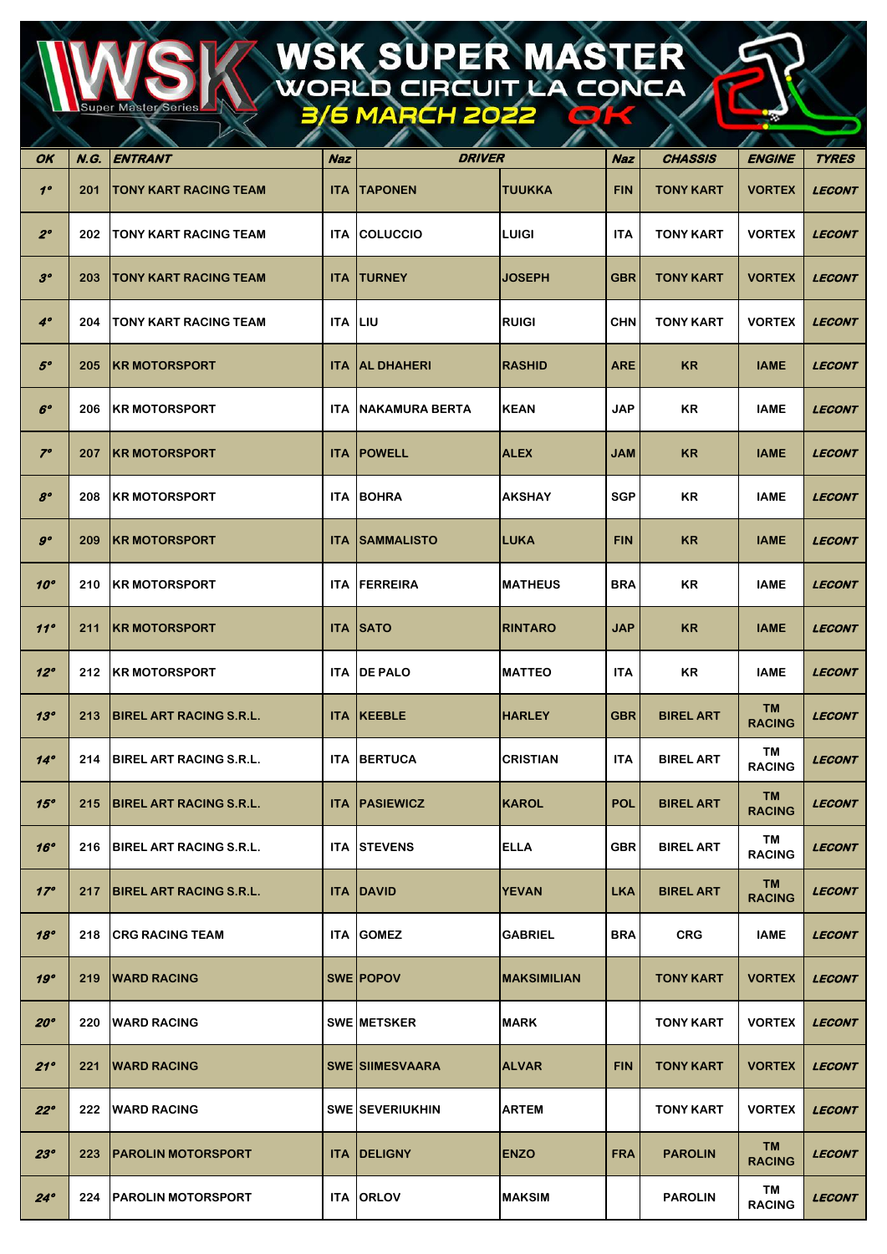## WSK SUPER MASTER<br>WORLD CIRCUIT LA CONCA

| OK              | N.G. | ENTRANT                        | <b>Naz</b>     | <b>DRIVER</b>          |                    | Naz        | <b>CHASSIS</b>   | <b>ENGINE</b>              | <b>TYRES</b>         |
|-----------------|------|--------------------------------|----------------|------------------------|--------------------|------------|------------------|----------------------------|----------------------|
| $1^{\circ}$     | 201  | <b>TONY KART RACING TEAM</b>   | <b>ITA</b>     | <b>TAPONEN</b>         | <b>TUUKKA</b>      | <b>FIN</b> | <b>TONY KART</b> | <b>VORTEX</b>              | <b>LECONT</b>        |
| $2^{\circ}$     | 202  | <b>ITONY KART RACING TEAM</b>  | ITA.           | <b>COLUCCIO</b>        | LUIGI              | <b>ITA</b> | <b>TONY KART</b> | <b>VORTEX</b>              | <b>LECONT</b>        |
| 3 <sup>o</sup>  | 203  | TONY KART RACING TEAM          | <b>ITA</b>     | <b>TURNEY</b>          | <b>JOSEPH</b>      | <b>GBR</b> | <b>TONY KART</b> | <b>VORTEX</b>              | <b>LECONT</b>        |
| $4^\circ$       | 204  | <b>TONY KART RACING TEAM</b>   | <b>ITA LIU</b> |                        | <b>RUIGI</b>       | <b>CHN</b> | <b>TONY KART</b> | <b>VORTEX</b>              | <b>LECONT</b>        |
| $5^\circ$       | 205  | <b>IKR MOTORSPORT</b>          | <b>ITA</b>     | <b>AL DHAHERI</b>      | <b>RASHID</b>      | <b>ARE</b> | <b>KR</b>        | <b>IAME</b>                | <b>LECONT</b>        |
| $6^\circ$       | 206  | <b>KR MOTORSPORT</b>           | <b>ITA</b>     | INAKAMURA BERTA        | <b>KEAN</b>        | <b>JAP</b> | KR               | <b>IAME</b>                | <b>LECONT</b>        |
| $7^\circ$       | 207  | <b>IKR MOTORSPORT</b>          | <b>ITA</b>     | <b>POWELL</b>          | <b>ALEX</b>        | JAM        | KR.              | <b>IAME</b>                | <b>LECONT</b>        |
| $\mathcal{S}^o$ | 208  | <b>KR MOTORSPORT</b>           | ITA.           | <b>BOHRA</b>           | <b>AKSHAY</b>      | <b>SGP</b> | KR               | <b>IAME</b>                | <b>LECONT</b>        |
| $g^o$           | 209  | <b>IKR MOTORSPORT</b>          | <b>ITA</b>     | <b>SAMMALISTO</b>      | <b>ILUKA</b>       | <b>FIN</b> | <b>KR</b>        | <b>IAME</b>                | <b>LECONT</b>        |
| $10^{\circ}$    | 210  | <b>KR MOTORSPORT</b>           | ITA.           | FERREIRA               | <b>MATHEUS</b>     | <b>BRA</b> | KR               | <b>IAME</b>                | <b>LECONT</b>        |
| 11°             | 211  | <b>IKR MOTORSPORT</b>          | <b>ITA</b>     | <b>SATO</b>            | <b>RINTARO</b>     | <b>JAP</b> | <b>KR</b>        | <b>IAME</b>                | <b>LECONT</b>        |
| $12^{\circ}$    | 212  | <b>IKR MOTORSPORT</b>          | ITA.           | <b>DE PALO</b>         | <b>MATTEO</b>      | <b>ITA</b> | KR               | <b>IAME</b>                | <b>LECONT</b>        |
| 13°             | 213  | <b>BIREL ART RACING S.R.L.</b> |                | <b>ITA KEEBLE</b>      | <b>HARLEY</b>      | <b>GBR</b> | <b>BIREL ART</b> | TM.<br><b>RACING</b>       | <b>LECONT</b>        |
| $14^\circ$      | 214  | <b>BIREL ART RACING S.R.L.</b> | ITA.           | <b>BERTUCA</b>         | <b>CRISTIAN</b>    | <b>ITA</b> | <b>BIREL ART</b> | TM<br><b>RACING</b>        | <b>LECONT</b>        |
| 15°             |      | 215 BIREL ART RACING S.R.L.    |                | <b>ITA PASIEWICZ</b>   | KAROL              | <b>POL</b> | <b>BIREL ART</b> | <b>TM</b><br><b>RACING</b> | <b>LECONT</b>        |
| 16°             | 216  | <b>BIREL ART RACING S.R.L.</b> |                | <b>ITA STEVENS</b>     | <b>ELLA</b>        | <b>GBR</b> | <b>BIREL ART</b> | TM<br><b>RACING</b>        | <b>LECONT</b>        |
| 17°             | 217  | <b>BIREL ART RACING S.R.L.</b> |                | <b>ITA DAVID</b>       | <b>YEVAN</b>       | <b>LKA</b> | <b>BIREL ART</b> | <b>TM</b><br><b>RACING</b> | <b>LECONT</b>        |
| 18°             | 218  | <b>CRG RACING TEAM</b>         |                | <b>ITA GOMEZ</b>       | <b>GABRIEL</b>     | <b>BRA</b> | <b>CRG</b>       | <b>IAME</b>                | <b>LECONT</b>        |
| 19°             | 219  | <b>WARD RACING</b>             |                | <b>SWE POPOV</b>       | <b>MAKSIMILIAN</b> |            | <b>TONY KART</b> | <b>VORTEX</b>              | <b>LECONT</b>        |
| 20°             | 220  | <b>IWARD RACING</b>            |                | <b>SWE METSKER</b>     | <b>MARK</b>        |            | <b>TONY KART</b> | <b>VORTEX</b>              | <b>LECONT</b>        |
| 21°             | 221  | <b>WARD RACING</b>             |                | <b>SWE SIIMESVAARA</b> | <b>ALVAR</b>       | <b>FIN</b> | <b>TONY KART</b> | <b>VORTEX</b>              | <b>LECONT</b>        |
| $22^{\circ}$    | 222  | <b>IWARD RACING</b>            |                | <b>SWE SEVERIUKHIN</b> | <b>ARTEM</b>       |            | <b>TONY KART</b> | <b>VORTEX</b>              | <b>LECONT</b>        |
| 23°             | 223  | <b>PAROLIN MOTORSPORT</b>      |                | <b>ITA DELIGNY</b>     | <b>ENZO</b>        | <b>FRA</b> | <b>PAROLIN</b>   | <b>TM</b><br><b>RACING</b> | <i><b>LECONT</b></i> |
| $24^\circ$      | 224  | <b>PAROLIN MOTORSPORT</b>      |                | <b>ITA ORLOV</b>       | <b>MAKSIM</b>      |            | <b>PAROLIN</b>   | TM<br><b>RACING</b>        | <b>LECONT</b>        |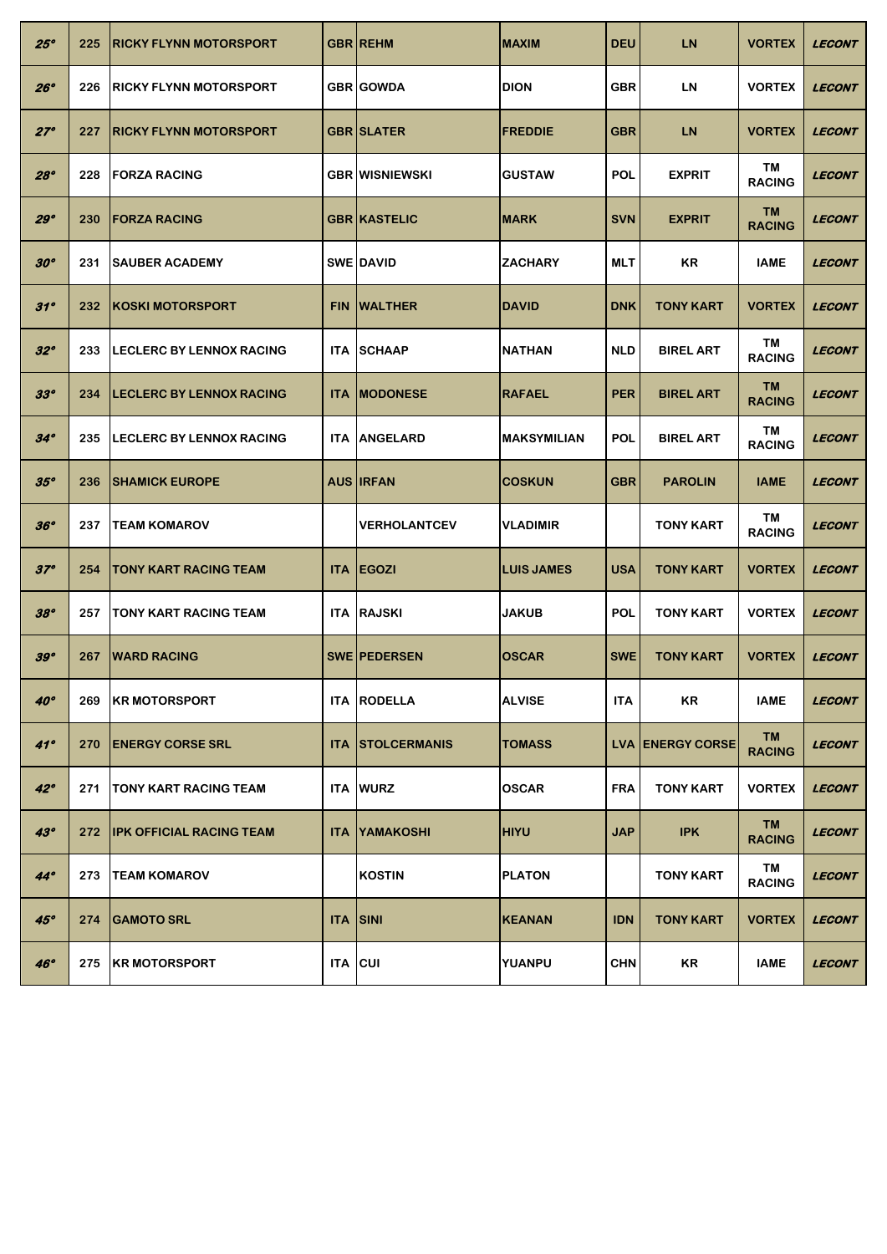| 25°          | 225 | <b>IRICKY FLYNN MOTORSPORT</b>   |            | <b>GBR REHM</b>       | <b>MAXIM</b>       | <b>DEU</b> | <b>LN</b>               | <b>VORTEX</b>              | <b>LECONT</b> |
|--------------|-----|----------------------------------|------------|-----------------------|--------------------|------------|-------------------------|----------------------------|---------------|
| 26°          | 226 | <b>IRICKY FLYNN MOTORSPORT</b>   |            | <b>GBR GOWDA</b>      | <b>DION</b>        | <b>GBR</b> | <b>LN</b>               | <b>VORTEX</b>              | <b>LECONT</b> |
| $27^\circ$   | 227 | <b>IRICKY FLYNN MOTORSPORT</b>   |            | <b>GBR SLATER</b>     | <b>FREDDIE</b>     | <b>GBR</b> | <b>LN</b>               | <b>VORTEX</b>              | <b>LECONT</b> |
| 28°          | 228 | <b>IFORZA RACING</b>             |            | <b>GBR WISNIEWSKI</b> | <b>IGUSTAW</b>     | POL        | <b>EXPRIT</b>           | TM<br><b>RACING</b>        | <b>LECONT</b> |
| 29°          | 230 | <b>IFORZA RACING</b>             |            | <b>GBR KASTELIC</b>   | <b>MARK</b>        | <b>SVN</b> | <b>EXPRIT</b>           | <b>TM</b><br><b>RACING</b> | <b>LECONT</b> |
| $30^{\circ}$ | 231 | <b>SAUBER ACADEMY</b>            |            | <b>SWE DAVID</b>      | <b>ZACHARY</b>     | <b>MLT</b> | ΚR                      | <b>IAME</b>                | <b>LECONT</b> |
| $31^\circ$   | 232 | <b>IKOSKI MOTORSPORT</b>         | <b>FIN</b> | <b>WALTHER</b>        | <b>DAVID</b>       | <b>DNK</b> | <b>TONY KART</b>        | <b>VORTEX</b>              | <b>LECONT</b> |
| $32^{\circ}$ | 233 | <b>ILECLERC BY LENNOX RACING</b> | ITA.       | <b>SCHAAP</b>         | <b>NATHAN</b>      | <b>NLD</b> | <b>BIREL ART</b>        | TM<br><b>RACING</b>        | <b>LECONT</b> |
| $33^{\circ}$ | 234 | <b>ILECLERC BY LENNOX RACING</b> | <b>ITA</b> | <b>IMODONESE</b>      | <b>RAFAEL</b>      | <b>PER</b> | <b>BIREL ART</b>        | <b>TM</b><br><b>RACING</b> | <b>LECONT</b> |
| $34^\circ$   | 235 | <b>LECLERC BY LENNOX RACING</b>  | <b>ITA</b> | <b>ANGELARD</b>       | <b>MAKSYMILIAN</b> | <b>POL</b> | <b>BIREL ART</b>        | TM<br><b>RACING</b>        | <b>LECONT</b> |
| 35°          | 236 | <b>ISHAMICK EUROPE</b>           |            | <b>AUS IRFAN</b>      | <b>COSKUN</b>      | <b>GBR</b> | <b>PAROLIN</b>          | <b>IAME</b>                | <b>LECONT</b> |
| 36°          | 237 | <b>TEAM KOMAROV</b>              |            | <b>VERHOLANTCEV</b>   | <b>VLADIMIR</b>    |            | <b>TONY KART</b>        | TM<br><b>RACING</b>        | <b>LECONT</b> |
| $37^\circ$   | 254 | <b>ITONY KART RACING TEAM</b>    |            | <b>ITA EGOZI</b>      | <b>LUIS JAMES</b>  | <b>USA</b> | <b>TONY KART</b>        | <b>VORTEX</b>              | <b>LECONT</b> |
| 38°          | 257 | <b>ITONY KART RACING TEAM</b>    |            | <b>ITA RAJSKI</b>     |                    | <b>POL</b> | <b>TONY KART</b>        | <b>VORTEX</b>              | <b>LECONT</b> |
|              |     |                                  |            |                       | <b>JAKUB</b>       |            |                         |                            |               |
| 39°          | 267 | <b>WARD RACING</b>               |            | <b>SWE PEDERSEN</b>   | <b>OSCAR</b>       | <b>SWE</b> | <b>TONY KART</b>        | <b>VORTEX</b>              | <b>LECONT</b> |
| $40^\circ$   | 269 | <b>KR MOTORSPORT</b>             |            | <b>ITA RODELLA</b>    | <b>ALVISE</b>      | <b>ITA</b> | KR                      | <b>IAME</b>                | <b>LECONT</b> |
| 41°          | 270 | <b>IENERGY CORSE SRL</b>         | <b>ITA</b> | <b>ISTOLCERMANIS</b>  | <b>TOMASS</b>      |            | <b>LVA ENERGY CORSE</b> | TM<br><b>RACING</b>        | <b>LECONT</b> |
| $42^\circ$   | 271 | <b>ITONY KART RACING TEAM</b>    | ITA.       | <b>WURZ</b>           | <b>OSCAR</b>       | <b>FRA</b> | <b>TONY KART</b>        | <b>VORTEX</b>              | <b>LECONT</b> |
| $43^\circ$   | 272 | <b>IPK OFFICIAL RACING TEAM</b>  | <b>ITA</b> | YAMAKOSHI             | <b>HIYU</b>        | <b>JAP</b> | <b>IPK</b>              | TM<br><b>RACING</b>        | <b>LECONT</b> |
| $44^\circ$   | 273 | <b>TEAM KOMAROV</b>              |            | <b>KOSTIN</b>         | <b>PLATON</b>      |            | <b>TONY KART</b>        | TM<br><b>RACING</b>        | <b>LECONT</b> |
| 45°          | 274 | <b>GAMOTO SRL</b>                | <b>ITA</b> | <b>SINI</b>           | <b>KEANAN</b>      | <b>IDN</b> | <b>TONY KART</b>        | <b>VORTEX</b>              | <b>LECONT</b> |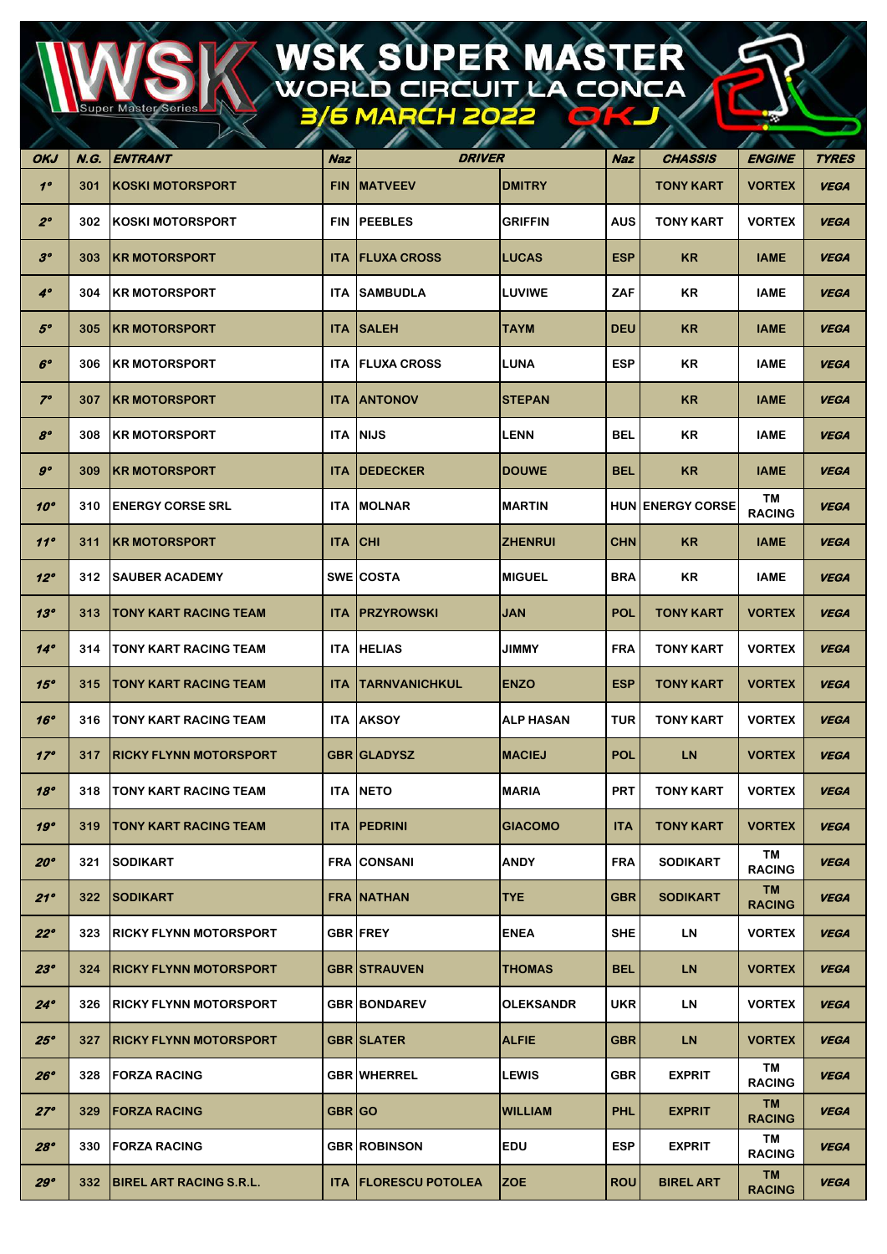## WSK SUPER MASTER<br>WORLD CIRCUIT LA CONCA

**Super Maste** 

| OKJ          | N.G. | <b>ENTRANT</b>                 | Naz        | <b>DRIVER</b>                 |                  | <b>Naz</b> | CHASSIS                 | <b>ENGINE</b>              | <b>TYRES</b> |
|--------------|------|--------------------------------|------------|-------------------------------|------------------|------------|-------------------------|----------------------------|--------------|
| $1^{\circ}$  | 301  | <b>KOSKI MOTORSPORT</b>        | <b>FIN</b> | <b>IMATVEEV</b>               | <b>DMITRY</b>    |            | <b>TONY KART</b>        | <b>VORTEX</b>              | <b>VEGA</b>  |
| $2^{\circ}$  | 302  | <b>KOSKI MOTORSPORT</b>        | <b>FIN</b> | <b>PEEBLES</b>                | <b>GRIFFIN</b>   | <b>AUS</b> | <b>TONY KART</b>        | <b>VORTEX</b>              | <b>VEGA</b>  |
| $3^o$        | 303  | <b>IKR MOTORSPORT</b>          | <b>ITA</b> | <b>IFLUXA CROSS</b>           | <b>LUCAS</b>     | <b>ESP</b> | <b>KR</b>               | <b>IAME</b>                | <b>VEGA</b>  |
| $4^\circ$    | 304  | <b>IKR MOTORSPORT</b>          | ITA.       | <b>SAMBUDLA</b>               | <b>LUVIWE</b>    | ZAF        | KR                      | <b>IAME</b>                | <b>VEGA</b>  |
| $5^o$        | 305  | <b>IKR MOTORSPORT</b>          | <b>ITA</b> | <b>ISALEH</b>                 | <b>TAYM</b>      | <b>DEU</b> | <b>KR</b>               | <b>IAME</b>                | <b>VEGA</b>  |
| $6^\circ$    | 306  | <b>IKR MOTORSPORT</b>          |            | <b>ITA   FLUXA CROSS</b>      | <b>LUNA</b>      | <b>ESP</b> | KR                      | <b>IAME</b>                | <b>VEGA</b>  |
| $7^\circ$    | 307  | <b>IKR MOTORSPORT</b>          |            | <b>ITA JANTONOV</b>           | <b>STEPAN</b>    |            | <b>KR</b>               | <b>IAME</b>                | <b>VEGA</b>  |
| $8^{\circ}$  | 308  | <b>IKR MOTORSPORT</b>          |            | <b>ITA NIJS</b>               | <b>LENN</b>      | BEL        | KR                      | <b>IAME</b>                | <b>VEGA</b>  |
| $g^o$        | 309  | <b>KR MOTORSPORT</b>           | <b>ITA</b> | <b> DEDECKER</b>              | <b>DOUWE</b>     | <b>BEL</b> | <b>KR</b>               | <b>IAME</b>                | <b>VEGA</b>  |
| $10^{\circ}$ | 310  | <b>ENERGY CORSE SRL</b>        |            | <b>ITA IMOLNAR</b>            | <b>MARTIN</b>    |            | <b>HUN ENERGY CORSE</b> | ΤM<br><b>RACING</b>        | <b>VEGA</b>  |
| 11°          | 311  | <b>IKR MOTORSPORT</b>          | <b>ITA</b> | <b>ICHI</b>                   | <b>ZHENRUI</b>   | <b>CHN</b> | <b>KR</b>               | <b>IAME</b>                | <b>VEGA</b>  |
| $12^{\circ}$ | 312  | <b>SAUBER ACADEMY</b>          |            | <b>SWE COSTA</b>              | <b>MIGUEL</b>    | <b>BRA</b> | KR                      | <b>IAME</b>                | <b>VEGA</b>  |
| 13°          | 313  | TONY KART RACING TEAM          | ITA.       | <b>IPRZYROWSKI</b>            | <b>JAN</b>       | <b>POL</b> | <b>TONY KART</b>        | <b>VORTEX</b>              | <b>VEGA</b>  |
| $14^\circ$   | 314  | TONY KART RACING TEAM          |            | <b>ITA HELIAS</b>             | <b>JIMMY</b>     | <b>FRA</b> | <b>TONY KART</b>        | <b>VORTEX</b>              | <b>VEGA</b>  |
| 15°          | 315  | <b>TONY KART RACING TEAM</b>   | <b>ITA</b> | <b>TARNVANICHKUL</b>          | <b>ENZO</b>      | <b>ESP</b> | <b>TONY KART</b>        | <b>VORTEX</b>              | <b>VEGA</b>  |
| 16°          | 316  | TONY KART RACING TEAM          |            | <b>ITA JAKSOY</b>             | <b>ALP HASAN</b> | <b>TUR</b> | <b>TONY KART</b>        | <b>VORTEX</b>              | <b>VEGA</b>  |
| $17^\circ$   | 317  | <b>RICKY FLYNN MOTORSPORT</b>  |            | <b>GBR GLADYSZ</b>            | <b>MACIEJ</b>    | <b>POL</b> | <b>LN</b>               | <b>VORTEX</b>              | <b>VEGA</b>  |
| 18°          | 318  | <b>ITONY KART RACING TEAM</b>  |            | <b>ITA INETO</b>              | <b>MARIA</b>     | <b>PRT</b> | <b>TONY KART</b>        | <b>VORTEX</b>              | <b>VEGA</b>  |
| 19°          | 319  | <b>TONY KART RACING TEAM</b>   |            | <b>ITA PEDRINI</b>            | <b>GIACOMO</b>   | <b>ITA</b> | <b>TONY KART</b>        | <b>VORTEX</b>              | <b>VEGA</b>  |
| 20°          | 321  | <b>SODIKART</b>                |            | <b>FRA CONSANI</b>            | <b>ANDY</b>      | <b>FRA</b> | <b>SODIKART</b>         | TM<br><b>RACING</b>        | <b>VEGA</b>  |
| 21°          | 322  | <b>SODIKART</b>                |            | <b>FRA NATHAN</b>             | <b>TYE</b>       | <b>GBR</b> | <b>SODIKART</b>         | <b>TM</b><br><b>RACING</b> | <b>VEGA</b>  |
| $22^{\circ}$ | 323  | <b>IRICKY FLYNN MOTORSPORT</b> |            | <b>GBR FREY</b>               | <b>ENEA</b>      | <b>SHE</b> | <b>LN</b>               | <b>VORTEX</b>              | <b>VEGA</b>  |
| 23°          | 324  | <b>IRICKY FLYNN MOTORSPORT</b> |            | <b>GBR STRAUVEN</b>           | <b>THOMAS</b>    | <b>BEL</b> | <b>LN</b>               | <b>VORTEX</b>              | <b>VEGA</b>  |
| $24^\circ$   | 326  | <b>IRICKY FLYNN MOTORSPORT</b> |            | <b>GBR BONDAREV</b>           | <b>OLEKSANDR</b> | <b>UKR</b> | <b>LN</b>               | <b>VORTEX</b>              | <b>VEGA</b>  |
| 25°          | 327  | <b>IRICKY FLYNN MOTORSPORT</b> |            | <b>GBR SLATER</b>             | <b>ALFIE</b>     | <b>GBR</b> | <b>LN</b>               | <b>VORTEX</b>              | <b>VEGA</b>  |
| 26°          | 328  | <b>FORZA RACING</b>            |            | <b>GBR WHERREL</b>            | <b>LEWIS</b>     | <b>GBR</b> | <b>EXPRIT</b>           | TM<br><b>RACING</b>        | <b>VEGA</b>  |
| $27^\circ$   | 329  | <b>FORZA RACING</b>            | GBR GO     |                               | <b>WILLIAM</b>   | <b>PHL</b> | <b>EXPRIT</b>           | <b>TM</b><br><b>RACING</b> | <b>VEGA</b>  |
| 28°          | 330  | <b>FORZA RACING</b>            |            | <b>GBR ROBINSON</b>           | <b>EDU</b>       | <b>ESP</b> | <b>EXPRIT</b>           | TM<br><b>RACING</b>        | <b>VEGA</b>  |
| 29°          | 332  | <b>BIREL ART RACING S.R.L.</b> |            | <b>ITA   FLORESCU POTOLEA</b> | <b>ZOE</b>       | <b>ROU</b> | <b>BIREL ART</b>        | <b>TM</b><br><b>RACING</b> | <b>VEGA</b>  |